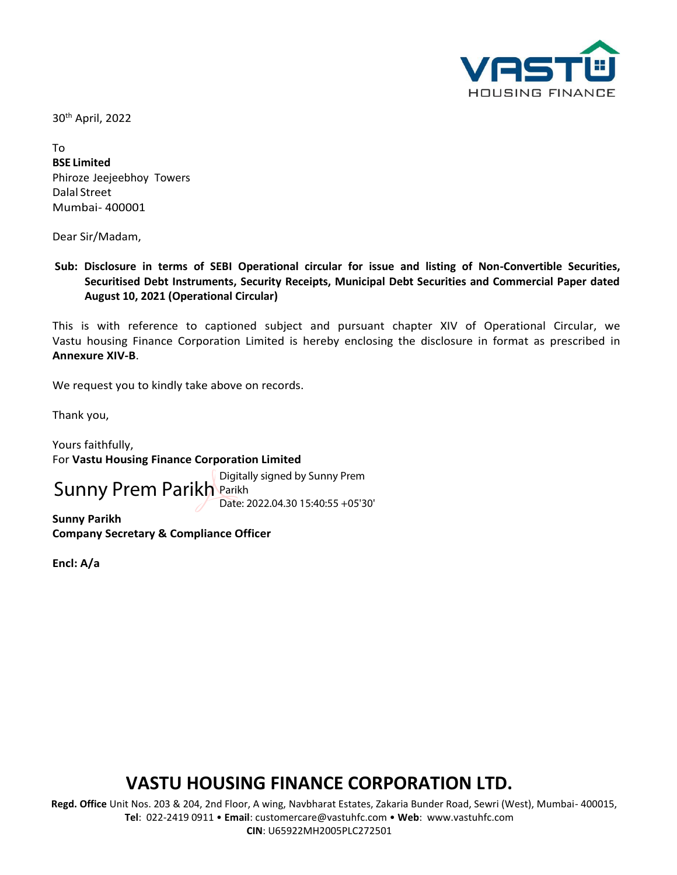

30th April, 2022

To

**BSE Limited** Phiroze Jeejeebhoy Towers Dalal Street Mumbai- 400001

Dear Sir/Madam,

**Sub: Disclosure in terms of SEBI Operational circular for issue and listing of Non-Convertible Securities, Securitised Debt Instruments, Security Receipts, Municipal Debt Securities and Commercial Paper dated August 10, 2021 (Operational Circular)**

This is with reference to captioned subject and pursuant chapter XIV of Operational Circular, we Vastu housing Finance Corporation Limited is hereby enclosing the disclosure in format as prescribed in **Annexure XIV-B**.

We request you to kindly take above on records.

Thank you,

Yours faithfully, For **Vastu Housing Finance Corporation Limited**

Sunny Prem Parikh Parikh<br>
Sunny Prem Parikh Parikh

Date: 2022.04.30 15:40:55 +05'30'

**Sunny Parikh Company Secretary & Compliance Officer**

**Encl: A/a**

# **VASTU HOUSING FINANCE CORPORATION LTD.**

 **Regd. Office** Unit Nos. 203 & 204, 2nd Floor, A wing, Navbharat Estates, Zakaria Bunder Road, Sewri (West), Mumbai- 400015, **Tel**: 022-2419 0911 • **Email**: [customercare@vastuhfc.com](mailto:customercare@vastuhfc.com) • **Web**: [www.vastuhfc.com](http://www.vastuhfc.com/)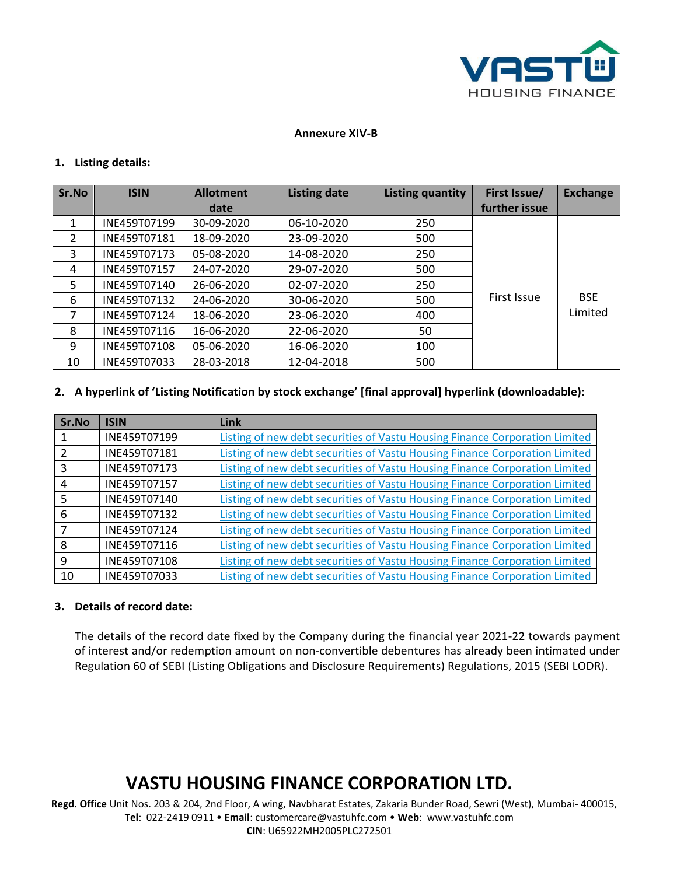

#### **Annexure XIV-B**

#### **1. Listing details:**

| Sr.No         | <b>ISIN</b>  | <b>Allotment</b><br>date | <b>Listing date</b> | Listing quantity | First Issue/<br>further issue | <b>Exchange</b> |
|---------------|--------------|--------------------------|---------------------|------------------|-------------------------------|-----------------|
| 1             | INE459T07199 | 30-09-2020               | 06-10-2020          | 250              |                               |                 |
| $\mathcal{P}$ | INE459T07181 | 18-09-2020               | 23-09-2020          | 500              |                               |                 |
| 3             | INE459T07173 | 05-08-2020               | 14-08-2020          | 250              |                               |                 |
| 4             | INE459T07157 | 24-07-2020               | 29-07-2020          | 500              |                               |                 |
| 5             | INE459T07140 | 26-06-2020               | 02-07-2020          | 250              |                               |                 |
| 6             | INE459T07132 | 24-06-2020               | 30-06-2020          | 500              | First Issue                   | <b>BSE</b>      |
| 7             | INE459T07124 | 18-06-2020               | 23-06-2020          | 400              |                               | Limited         |
| 8             | INE459T07116 | 16-06-2020               | 22-06-2020          | 50               |                               |                 |
| 9             | INE459T07108 | 05-06-2020               | 16-06-2020          | 100              |                               |                 |
| 10            | INE459T07033 | 28-03-2018               | 12-04-2018          | 500              |                               |                 |

#### **2. A hyperlink of 'Listing Notification by stock exchange' [final approval] hyperlink (downloadable):**

| Sr.No | <b>ISIN</b>  | Link                                                                        |
|-------|--------------|-----------------------------------------------------------------------------|
|       | INE459T07199 | Listing of new debt securities of Vastu Housing Finance Corporation Limited |
|       | INE459T07181 | Listing of new debt securities of Vastu Housing Finance Corporation Limited |
| 3     | INE459T07173 | Listing of new debt securities of Vastu Housing Finance Corporation Limited |
| 4     | INE459T07157 | Listing of new debt securities of Vastu Housing Finance Corporation Limited |
| 5     | INE459T07140 | Listing of new debt securities of Vastu Housing Finance Corporation Limited |
| 6     | INE459T07132 | Listing of new debt securities of Vastu Housing Finance Corporation Limited |
|       | INE459T07124 | Listing of new debt securities of Vastu Housing Finance Corporation Limited |
| 8     | INE459T07116 | Listing of new debt securities of Vastu Housing Finance Corporation Limited |
| 9     | INE459T07108 | Listing of new debt securities of Vastu Housing Finance Corporation Limited |
| 10    | INE459T07033 | Listing of new debt securities of Vastu Housing Finance Corporation Limited |

#### **3. Details of record date:**

The details of the record date fixed by the Company during the financial year 2021-22 towards payment of interest and/or redemption amount on non-convertible debentures has already been intimated under Regulation 60 of SEBI (Listing Obligations and Disclosure Requirements) Regulations, 2015 (SEBI LODR).

### **VASTU HOUSING FINANCE CORPORATION LTD.**

 **Regd. Office** Unit Nos. 203 & 204, 2nd Floor, A wing, Navbharat Estates, Zakaria Bunder Road, Sewri (West), Mumbai- 400015, **Tel**: 022-2419 0911 • **Email**: [customercare@vastuhfc.com](mailto:customercare@vastuhfc.com) • **Web**: [www.vastuhfc.com](http://www.vastuhfc.com/)

**CIN**: U65922MH2005PLC272501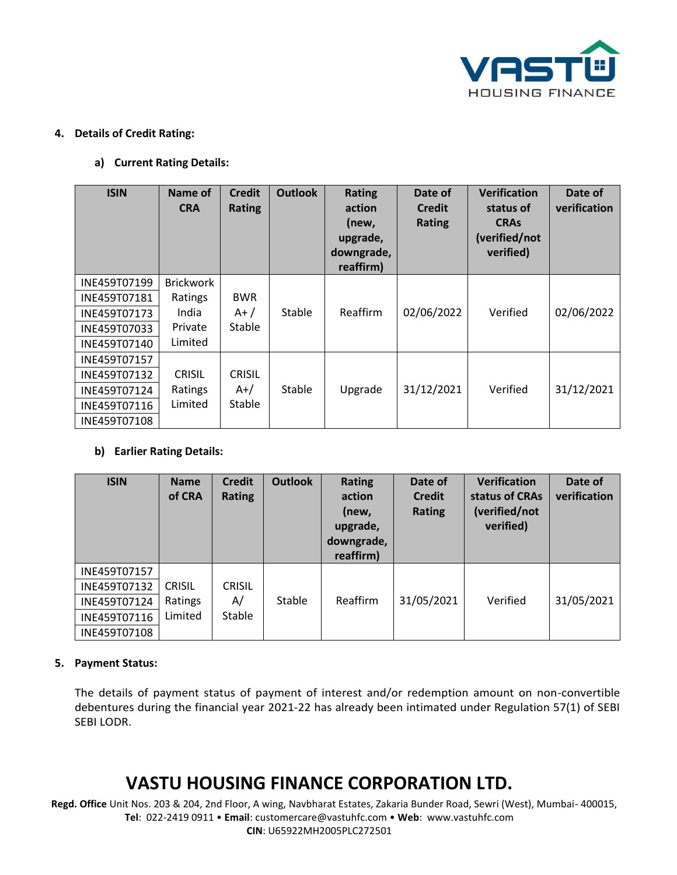

#### **4. Details of Credit Rating:**

### **a) Current Rating Details:**

| <b>ISIN</b>  | Name of<br><b>CRA</b> | <b>Credit</b><br><b>Rating</b> | <b>Outlook</b> | <b>Rating</b><br>action<br>(new,<br>upgrade,<br>downgrade,<br>reaffirm) | Date of<br><b>Credit</b><br>Rating | <b>Verification</b><br>status of<br><b>CRAs</b><br>(verified/not<br>verified) | Date of<br>verification |
|--------------|-----------------------|--------------------------------|----------------|-------------------------------------------------------------------------|------------------------------------|-------------------------------------------------------------------------------|-------------------------|
| INE459T07199 | <b>Brickwork</b>      |                                |                |                                                                         |                                    |                                                                               |                         |
| INE459T07181 | Ratings               | <b>BWR</b>                     |                |                                                                         |                                    |                                                                               |                         |
| INE459T07173 | India                 | $A+ /$                         | Stable         | Reaffirm                                                                | 02/06/2022                         | Verified                                                                      | 02/06/2022              |
| INE459T07033 | Private               | <b>Stable</b>                  |                |                                                                         |                                    |                                                                               |                         |
| INE459T07140 | Limited               |                                |                |                                                                         |                                    |                                                                               |                         |
| INE459T07157 |                       |                                |                |                                                                         |                                    |                                                                               |                         |
| INE459T07132 | <b>CRISIL</b>         | <b>CRISIL</b>                  |                |                                                                         |                                    |                                                                               |                         |
| INE459T07124 | Ratings               | $A+/-$                         | Stable         | Upgrade                                                                 | 31/12/2021                         | Verified                                                                      | 31/12/2021              |
| INE459T07116 | Limited               | <b>Stable</b>                  |                |                                                                         |                                    |                                                                               |                         |
| INE459T07108 |                       |                                |                |                                                                         |                                    |                                                                               |                         |

### **b) Earlier Rating Details:**

| <b>ISIN</b>  | <b>Name</b><br>of CRA | <b>Credit</b><br><b>Rating</b> | <b>Outlook</b> | <b>Rating</b><br>action<br>(new,<br>upgrade,<br>downgrade,<br>reaffirm) | Date of<br><b>Credit</b><br><b>Rating</b> | <b>Verification</b><br>status of CRAs<br>(verified/not<br>verified) | Date of<br>verification |
|--------------|-----------------------|--------------------------------|----------------|-------------------------------------------------------------------------|-------------------------------------------|---------------------------------------------------------------------|-------------------------|
| INE459T07157 |                       |                                |                |                                                                         |                                           |                                                                     |                         |
| INE459T07132 | <b>CRISIL</b>         | <b>CRISIL</b>                  |                |                                                                         |                                           |                                                                     |                         |
| INE459T07124 | Ratings               | A/                             | Stable         | Reaffirm                                                                | 31/05/2021                                | Verified                                                            | 31/05/2021              |
| INE459T07116 | Limited               | Stable                         |                |                                                                         |                                           |                                                                     |                         |
| INE459T07108 |                       |                                |                |                                                                         |                                           |                                                                     |                         |

### **5. Payment Status:**

The details of payment status of payment of interest and/or redemption amount on non-convertible debentures during the financial year 2021-22 has already been intimated under Regulation 57(1) of SEBI SEBI LODR.

# **VASTU HOUSING FINANCE CORPORATION LTD.**

 **Regd. Office** Unit Nos. 203 & 204, 2nd Floor, A wing, Navbharat Estates, Zakaria Bunder Road, Sewri (West), Mumbai- 400015, **Tel**: 022-2419 0911 • **Email**: [customercare@vastuhfc.com](mailto:customercare@vastuhfc.com) • **Web**: [www.vastuhfc.com](http://www.vastuhfc.com/)

**CIN**: U65922MH2005PLC272501